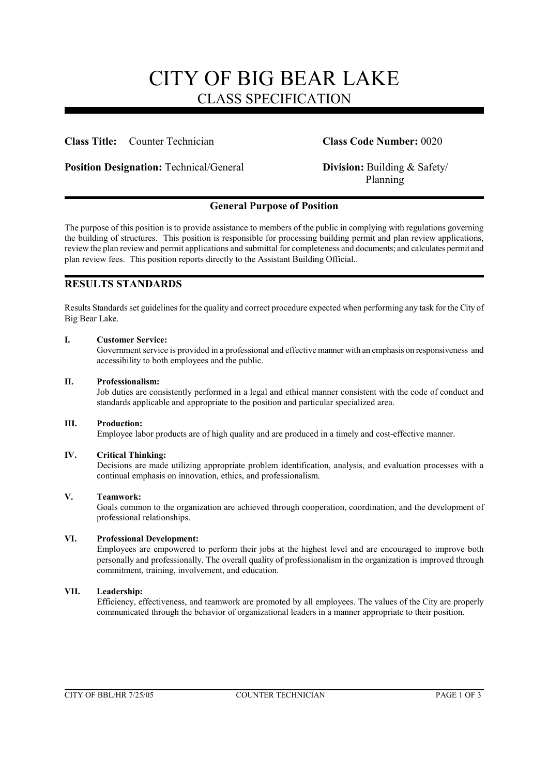### CITY OF BIG BEAR LAKE CLASS SPECIFICATION

#### **Class Title:** Counter Technician **Class Code Number:** 0020

**Position Designation:** Technical/General **Division:** Building & Safety/

# Planning

#### **General Purpose of Position**

The purpose of this position is to provide assistance to members of the public in complying with regulations governing the building of structures. This position is responsible for processing building permit and plan review applications, review the plan review and permit applications and submittal for completeness and documents; and calculates permit and plan review fees. This position reports directly to the Assistant Building Official..

#### **RESULTS STANDARDS**

Results Standards set guidelines for the quality and correct procedure expected when performing any task for the City of Big Bear Lake.

#### **I. Customer Service:**

Government service is provided in a professional and effective manner with an emphasis on responsiveness and accessibility to both employees and the public.

#### **II. Professionalism:**

Job duties are consistently performed in a legal and ethical manner consistent with the code of conduct and standards applicable and appropriate to the position and particular specialized area.

#### **III. Production:**

Employee labor products are of high quality and are produced in a timely and cost-effective manner.

#### **IV. Critical Thinking:**

Decisions are made utilizing appropriate problem identification, analysis, and evaluation processes with a continual emphasis on innovation, ethics, and professionalism.

#### **V. Teamwork:**

Goals common to the organization are achieved through cooperation, coordination, and the development of professional relationships.

#### **VI. Professional Development:**

Employees are empowered to perform their jobs at the highest level and are encouraged to improve both personally and professionally. The overall quality of professionalism in the organization is improved through commitment, training, involvement, and education.

#### **VII. Leadership:**

Efficiency, effectiveness, and teamwork are promoted by all employees. The values of the City are properly communicated through the behavior of organizational leaders in a manner appropriate to their position.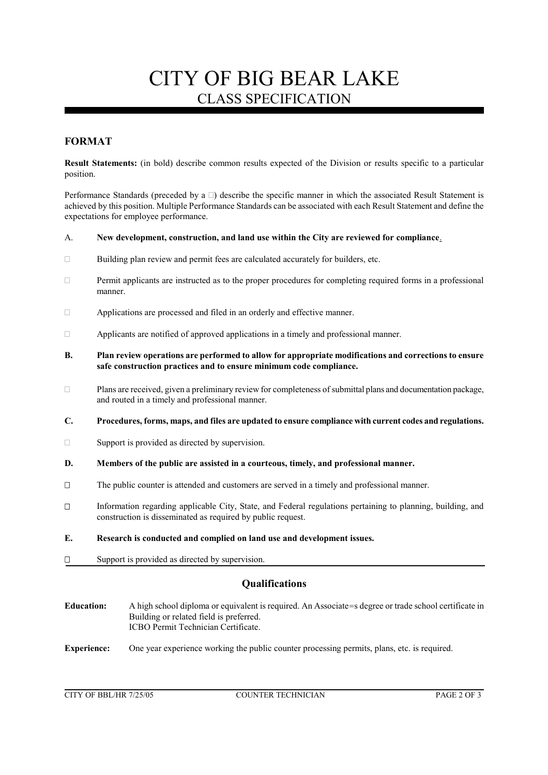## CITY OF BIG BEAR LAKE CLASS SPECIFICATION

### **FORMAT**

**Result Statements:** (in bold) describe common results expected of the Division or results specific to a particular position.

Performance Standards (preceded by a  $\Box$ ) describe the specific manner in which the associated Result Statement is achieved by this position. Multiple Performance Standards can be associated with each Result Statement and define the expectations for employee performance.

#### A. **New development, construction, and land use within the City are reviewed for compliance**.

- $\Box$  Building plan review and permit fees are calculated accurately for builders, etc.
- Permit applicants are instructed as to the proper procedures for completing required forms in a professional manner.
- Applications are processed and filed in an orderly and effective manner.
- $\Box$  Applicants are notified of approved applications in a timely and professional manner.
- **B. Plan review operations are performed to allow for appropriate modifications and corrections to ensure safe construction practices and to ensure minimum code compliance.**
- $\Box$  Plans are received, given a preliminary review for completeness of submittal plans and documentation package, and routed in a timely and professional manner.
- **C. Procedures, forms, maps, and files are updated to ensure compliance with current codes and regulations.**
- $\Box$  Support is provided as directed by supervision.
- **D. Members of the public are assisted in a courteous, timely, and professional manner.**
- The public counter is attended and customers are served in a timely and professional manner.
- Information regarding applicable City, State, and Federal regulations pertaining to planning, building, and construction is disseminated as required by public request.
- **E. Research is conducted and complied on land use and development issues.**
- $\square$  Support is provided as directed by supervision.

#### **Qualifications**

- **Education:** A high school diploma or equivalent is required. An Associate=s degree or trade school certificate in Building or related field is preferred. ICBO Permit Technician Certificate.
- **Experience:** One year experience working the public counter processing permits, plans, etc. is required.